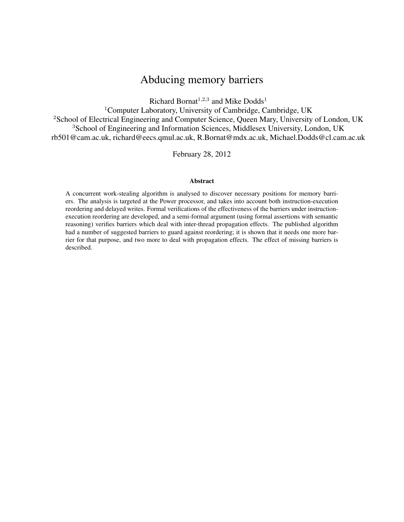# Abducing memory barriers

Richard Bornat<sup>1,2,3</sup> and Mike Dodds<sup>1</sup>

<sup>1</sup>Computer Laboratory, University of Cambridge, Cambridge, UK <sup>2</sup>School of Electrical Engineering and Computer Science, Queen Mary, University of London, UK <sup>3</sup>School of Engineering and Information Sciences, Middlesex University, London, UK rb501@cam.ac.uk, richard@eecs.qmul.ac.uk, R.Bornat@mdx.ac.uk, Michael.Dodds@cl.cam.ac.uk

February 28, 2012

#### Abstract

A concurrent work-stealing algorithm is analysed to discover necessary positions for memory barriers. The analysis is targeted at the Power processor, and takes into account both instruction-execution reordering and delayed writes. Formal verifications of the effectiveness of the barriers under instructionexecution reordering are developed, and a semi-formal argument (using formal assertions with semantic reasoning) verifies barriers which deal with inter-thread propagation effects. The published algorithm had a number of suggested barriers to guard against reordering; it is shown that it needs one more barrier for that purpose, and two more to deal with propagation effects. The effect of missing barriers is described.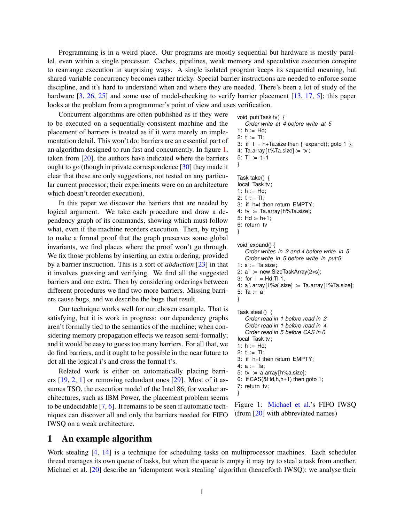<span id="page-1-1"></span>Programming is in a weird place. Our programs are mostly sequential but hardware is mostly parallel, even within a single processor. Caches, pipelines, weak memory and speculative execution conspire to rearrange execution in surprising ways. A single isolated program keeps its sequential meaning, but shared-variable concurrency becomes rather tricky. Special barrier instructions are needed to enforce some discipline, and it's hard to understand when and where they are needed. There's been a lot of study of the hardware  $\left[3, 26, 25\right]$  $\left[3, 26, 25\right]$  $\left[3, 26, 25\right]$  $\left[3, 26, 25\right]$  $\left[3, 26, 25\right]$  and some use of model-checking to verify barrier placement  $\left[13, 17, 5\right]$  $\left[13, 17, 5\right]$  $\left[13, 17, 5\right]$  $\left[13, 17, 5\right]$  $\left[13, 17, 5\right]$ ; this paper looks at the problem from a programmer's point of view and uses verification.

Concurrent algorithms are often published as if they were to be executed on a sequentially-consistent machine and the placement of barriers is treated as if it were merely an implementation detail. This won't do: barriers are an essential part of an algorithm designed to run fast and concurrently. In figure [1,](#page-1-0) taken from [\[20\]](#page-13-3), the authors have indicated where the barriers ought to go (though in private correspondence [\[30\]](#page-13-4) they made it clear that these are only suggestions, not tested on any particular current processor; their experiments were on an architecture which doesn't reorder execution).

In this paper we discover the barriers that are needed by logical argument. We take each procedure and draw a dependency graph of its commands, showing which must follow what, even if the machine reorders execution. Then, by trying to make a formal proof that the graph preserves some global invariants, we find places where the proof won't go through. We fix those problems by inserting an extra ordering, provided by a barrier instruction. This is a sort of *abduction* [\[23\]](#page-13-5) in that it involves guessing and verifying. We find all the suggested barriers and one extra. Then by considering orderings between different procedures we find two more barriers. Missing barriers cause bugs, and we describe the bugs that result.

Our technique works well for our chosen example. That is satisfying, but it is work in progress: our dependency graphs aren't formally tied to the semantics of the machine; when considering memory propagation effects we reason semi-formally; and it would be easy to guess too many barriers. For all that, we do find barriers, and it ought to be possible in the near future to dot all the logical i's and cross the formal t's.

Related work is either on automatically placing barriers [\[19,](#page-13-6) [2,](#page-12-3) [1\]](#page-12-4) or removing redundant ones [\[29\]](#page-13-7). Most of it assumes TSO, the execution model of the Intel 86; for weaker architectures, such as IBM Power, the placement problem seems to be undecidable [\[7,](#page-12-5) [6\]](#page-12-6). It remains to be seen if automatic techniques can discover all and only the barriers needed for FIFO IWSQ on a weak architecture.

#### 1 An example algorithm

void put(Task tv) { *Order write at 4 before write at 5* 1:  $h := Hd$ ; 2:  $t := TI$ ; 3: if  $t = h + Ta.size$  then { expand(); goto 1 }; 4: Ta.array $[t\%$ Ta.size] := tv; 5: Tl := t+1 } Task take() { local Task tv; 1:  $h := Hd$ ; 2:  $t := T1$ ; 3: if h=t then return EMPTY; 4:  $tv := Ta.array[h%Ta.size];$ 5: Hd :=  $h+1$ ; 6: return tv } void expand() { *Order writes in 2 and 4 before write in 5 Order write in 5 before write in put:5* 1:  $s := Ta.size$ ; 2: a' := new SizeTaskArray(2∗s); 3: for  $i = Hd$ : Tl-1, 4:  $a'$ . array [ $i\%a'$ . size] := Ta. array [ $i\%$ Ta. size]; 5: Ta := a' } Task steal () { *Order read in 1 before read in 2 Order read in 1 before read in 4 Order read in 5 before CAS in 6* local Task tv; 1:  $h := Hd$ ; 2:  $t := T1$ ; 3: if h=t then return EMPTY; 4:  $a := Ta$ ; 5:  $tv := a.array[h%a.size];$ 6: if CAS(&Hd,h,h+1) then goto 1;

Figure 1: [Michael et al.'](#page-13-3)s FIFO IWSQ (from [\[20\]](#page-13-3) with abbreviated names)

7: return tv ;

<span id="page-1-0"></span>}

Work stealing [\[4,](#page-12-7) [14\]](#page-12-8) is a technique for scheduling tasks on multiprocessor machines. Each scheduler thread manages its own queue of tasks, but when the queue is empty it may try to steal a task from another. Michael et al. [\[20\]](#page-13-3) describe an 'idempotent work stealing' algorithm (henceforth IWSQ): we analyse their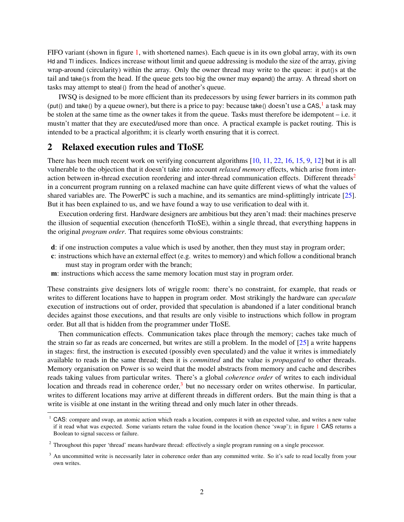<span id="page-2-3"></span>FIFO variant (shown in figure [1,](#page-1-0) with shortened names). Each queue is in its own global array, with its own Hd and Tl indices. Indices increase without limit and queue addressing is modulo the size of the array, giving wrap-around (circularity) within the array. Only the owner thread may write to the queue: it put ()s at the tail and take()s from the head. If the queue gets too big the owner may expand() the array. A thread short on tasks may attempt to steal () from the head of another's queue.

IWSQ is designed to be more efficient than its predecessors by using fewer barriers in its common path (put() and take() by a queue owner), but there is a price to pay: because take() doesn't use a CAS, a task may be stolen at the same time as the owner takes it from the queue. Tasks must therefore be idempotent – i.e. it mustn't matter that they are executed/used more than once. A practical example is packet routing. This is intended to be a practical algorithm; it is clearly worth ensuring that it is correct.

### 2 Relaxed execution rules and TIoSE

There has been much recent work on verifying concurrent algorithms [\[10,](#page-12-9) [11,](#page-12-10) [22,](#page-13-8) [16,](#page-13-9) [15,](#page-12-11) [9,](#page-12-12) [12\]](#page-12-13) but it is all vulnerable to the objection that it doesn't take into account *relaxed memory* effects, which arise from inter-action between in-thread execution reordering and inter-thread communication effects. Different threads<sup>[2](#page-2-1)</sup> in a concurrent program running on a relaxed machine can have quite different views of what the values of shared variables are. The PowerPC is such a machine, and its semantics are mind-splittingly intricate [\[25\]](#page-13-1). But it has been explained to us, and we have found a way to use verification to deal with it.

Execution ordering first. Hardware designers are ambitious but they aren't mad: their machines preserve the illusion of sequential execution (henceforth TIoSE), within a single thread, that everything happens in the original *program order*. That requires some obvious constraints:

- d: if one instruction computes a value which is used by another, then they must stay in program order;
- c: instructions which have an external effect (e.g. writes to memory) and which follow a conditional branch must stay in program order with the branch;
- m: instructions which access the same memory location must stay in program order.

These constraints give designers lots of wriggle room: there's no constraint, for example, that reads or writes to different locations have to happen in program order. Most strikingly the hardware can *speculate* execution of instructions out of order, provided that speculation is abandoned if a later conditional branch decides against those executions, and that results are only visible to instructions which follow in program order. But all that is hidden from the programmer under TIoSE.

Then communication effects. Communication takes place through the memory; caches take much of the strain so far as reads are concerned, but writes are still a problem. In the model of [\[25\]](#page-13-1) a write happens in stages: first, the instruction is executed (possibly even speculated) and the value it writes is immediately available to reads in the same thread; then it is *committed* and the value is *propagated* to other threads. Memory organisation on Power is so weird that the model abstracts from memory and cache and describes reads taking values from particular writes. There's a global *coherence order* of writes to each individual location and threads read in coherence order, $3$  but no necessary order on writes otherwise. In particular, writes to different locations may arrive at different threads in different orders. But the main thing is that a write is visible at one instant in the writing thread and only much later in other threads.

<span id="page-2-0"></span> $<sup>1</sup>$  CAS: compare and swap, an atomic action which reads a location, compares it with an expected value, and writes a new value</sup> if it read what was expected. Some variants return the value found in the location (hence 'swap'); in figure [1](#page-1-0) CAS returns a Boolean to signal success or failure.

<span id="page-2-1"></span><sup>&</sup>lt;sup>2</sup> Throughout this paper 'thread' means hardware thread: effectively a single program running on a single processor.

<span id="page-2-2"></span><sup>&</sup>lt;sup>3</sup> An uncommitted write is necessarily later in coherence order than any committed write. So it's safe to read locally from your own writes.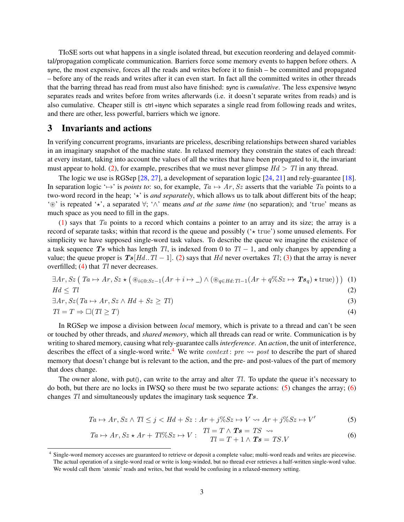<span id="page-3-8"></span>TIoSE sorts out what happens in a single isolated thread, but execution reordering and delayed committal/propagation complicate communication. Barriers force some memory events to happen before others. A sync, the most expensive, forces all the reads and writes before it to finish – be committed and propagated – before any of the reads and writes after it can even start. In fact all the committed writes in other threads that the barring thread has read from must also have finished: sync is *cumulative*. The less expensive lwsync separates reads and writes before from writes afterwards (i.e. it doesn't separate writes from reads) and is also cumulative. Cheaper still is ctrl +isync which separates a single read from following reads and writes, and there are other, less powerful, barriers which we ignore.

#### <span id="page-3-7"></span>3 Invariants and actions

In verifying concurrent programs, invariants are priceless, describing relationships between shared variables in an imaginary snapshot of the machine state. In relaxed memory they constrain the states of each thread: at every instant, taking into account the values of all the writes that have been propagated to it, the invariant must appear to hold. [\(2\)](#page-3-0), for example, prescribes that we must never glimpse  $Hd > Tl$  in any thread.

The logic we use is RGSep [\[28,](#page-13-10) [27\]](#page-13-11), a development of separation logic [\[24,](#page-13-12) [21\]](#page-13-13) and rely-guarantee [\[18\]](#page-13-14). In separation logic ' $\mapsto$ ' is *points to*: so, for example,  $Ta \mapsto Ar$ , Sz asserts that the variable Ta points to a two-word record in the heap; '\*' is *and separately*, which allows us to talk about different bits of the heap; '~' is repeated '?', a separated ∀; '∧' means *and at the same time* (no separation); and 'true' means as much space as you need to fill in the gaps.

[\(1\)](#page-3-1) says that Ta points to a record which contains a pointer to an array and its size; the array is a record of separate tasks; within that record is the queue and possibly ( $\star$  true') some unused elements. For simplicity we have supposed single-word task values. To describe the queue we imagine the existence of a task sequence Ts which has length Tl, is indexed from 0 to  $Tl - 1$ , and only changes by appending a value; the queue proper is  $Ts[Hd..Tl-1]$ . [\(2\)](#page-3-0) says that Hd never overtakes Tl; [\(3\)](#page-3-2) that the array is never overfilled;  $(4)$  that  $Tl$  never decreases.

<span id="page-3-1"></span>
$$
\exists Ar, Sz \left(Ta \mapsto Ar, Sz \star \left(\circledast_{i \in 0:Sz-1}(Ar + i \mapsto \_) \wedge \left(\circledast_{q \in Hd: Tl-1}(Ar + q\%Sz \mapsto \mathbf{Ts}_q\right) \star \text{true})\right)\right) \tag{1}
$$

$$
Hd \leq Tl \tag{2}
$$

$$
\exists Ar, Sz(Ta \mapsto Ar, Sz \wedge Hd + Sz \geq Tl)
$$
\n(3)

$$
Tl = T \Rightarrow \Box(Tl \ge T) \tag{4}
$$

In RGSep we impose a division between *local* memory, which is private to a thread and can't be seen or touched by other threads, and *shared memory*, which all threads can read or write. Communication is by writing to shared memory, causing what rely-guarantee calls *interference*. An *action*, the unit of interference, describes the effect of a single-word write.<sup>[4](#page-3-4)</sup> We write *context*: pre  $\rightsquigarrow$  post to describe the part of shared memory that doesn't change but is relevant to the action, and the pre- and post-values of the part of memory that does change.

The owner alone, with put(), can write to the array and alter  $Tl$ . To update the queue it's necessary to do both, but there are no locks in IWSQ so there must be two separate actions: [\(5\)](#page-3-5) changes the array; [\(6\)](#page-3-6) changes  $Tl$  and simultaneously updates the imaginary task sequence  $Ts$ .

<span id="page-3-3"></span><span id="page-3-2"></span><span id="page-3-0"></span>
$$
Ta \mapsto Ar, Sz \wedge Tl \le j < Hd + Sz : Ar + j\%Sz \mapsto V \rightsquigarrow Ar + j\%Sz \mapsto V' \tag{5}
$$

<span id="page-3-6"></span><span id="page-3-5"></span>
$$
Ta \mapsto Ar, Sz \star Ar + Tl\%Sz \mapsto V: \quad \begin{aligned} Tl &= T \wedge \mathbf{Ts} = TS \quad \leadsto \\ Tl &= T + 1 \wedge \mathbf{Ts} = TS.V \end{aligned} \tag{6}
$$

<span id="page-3-4"></span><sup>4</sup> Single-word memory accesses are guaranteed to retrieve or deposit a complete value; multi-word reads and writes are piecewise. The actual operation of a single-word read or write is long-winded, but no thread ever retrieves a half-written single-word value. We would call them 'atomic' reads and writes, but that would be confusing in a relaxed-memory setting.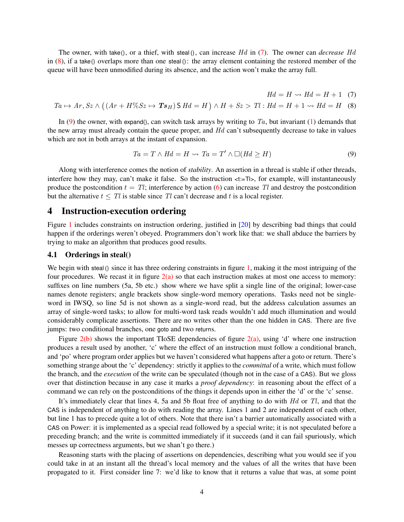<span id="page-4-3"></span>The owner, with take(), or a thief, with steal (), can increase Hd in [\(7\)](#page-4-0). The owner can *decrease* Hd in  $(8)$ , if a take() overlaps more than one steal (): the array element containing the restored member of the queue will have been unmodified during its absence, and the action won't make the array full.

<span id="page-4-2"></span><span id="page-4-1"></span><span id="page-4-0"></span>
$$
Hd = H \rightsquigarrow Hd = H + 1 \quad (7)
$$

$$
Ta \mapsto Ar, Sz \wedge ((Ar + H\%Sz \mapsto Ts_H) \mathsf{S} Hd = H) \wedge H + Sz > Ti : Hd = H + 1 \rightsquigarrow Hd = H
$$
 (8)

In [\(9\)](#page-4-2) the owner, with expand(), can switch task arrays by writing to  $Ta$ , but invariant [\(1\)](#page-3-1) demands that the new array must already contain the queue proper, and  $Hd$  can't subsequently decrease to take in values which are not in both arrays at the instant of expansion.

$$
Ta = T \wedge Hd = H \leadsto Ta = T' \wedge \Box(Hd \ge H)
$$
\n<sup>(9)</sup>

Along with interference comes the notion of *stability*. An assertion in a thread is stable if other threads, interfere how they may, can't make it false. So the instruction  $\lt t:=T$ , for example, will instantaneously produce the postcondition  $t = Tl$ ; interference by action [\(6\)](#page-3-6) can increase Tl and destroy the postcondition but the alternative  $t \leq Tl$  is stable since Tl can't decrease and t is a local register.

#### 4 Instruction-execution ordering

Figure [1](#page-1-0) includes constraints on instruction ordering, justified in [\[20\]](#page-13-3) by describing bad things that could happen if the orderings weren't obeyed. Programmers don't work like that: we shall abduce the barriers by trying to make an algorithm that produces good results.

#### 4.1 Orderings in steal()

We begin with steal () since it has three ordering constraints in figure [1,](#page-1-0) making it the most intriguing of the four procedures. We recast it in figure  $2(a)$  so that each instruction makes at most one access to memory: suffixes on line numbers (5a, 5b etc.) show where we have split a single line of the original; lower-case names denote registers; angle brackets show single-word memory operations. Tasks need not be singleword in IWSQ, so line 5d is not shown as a single-word read, but the address calculation assumes an array of single-word tasks; to allow for multi-word task reads wouldn't add much illumination and would considerably complicate assertions. There are no writes other than the one hidden in CAS. There are five jumps: two conditional branches, one goto and two returns.

Figure  $2(b)$  shows the important TIoSE dependencies of figure  $2(a)$ , using 'd' where one instruction produces a result used by another, 'c' where the effect of an instruction must follow a conditional branch, and 'po' where program order applies but we haven't considered what happens after a goto or return. There's something strange about the 'c' dependency: strictly it applies to the *committal* of a write, which must follow the branch, and the *execution* of the write can be speculated (though not in the case of a CAS). But we gloss over that distinction because in any case it marks a *proof dependency*: in reasoning about the effect of a command we can rely on the postconditions of the things it depends upon in either the 'd' or the 'c' sense.

It's immediately clear that lines 4, 5a and 5b float free of anything to do with  $Hd$  or  $Tl$ , and that the CAS is independent of anything to do with reading the array. Lines 1 and 2 are independent of each other, but line 1 has to precede quite a lot of others. Note that there isn't a barrier automatically associated with a CAS on Power: it is implemented as a special read followed by a special write; it is not speculated before a preceding branch; and the write is committed immediately if it succeeds (and it can fail spuriously, which messes up correctness arguments, but we shan't go there.)

Reasoning starts with the placing of assertions on dependencies, describing what you would see if you could take in at an instant all the thread's local memory and the values of all the writes that have been propagated to it. First consider line 7: we'd like to know that it returns a value that was, at some point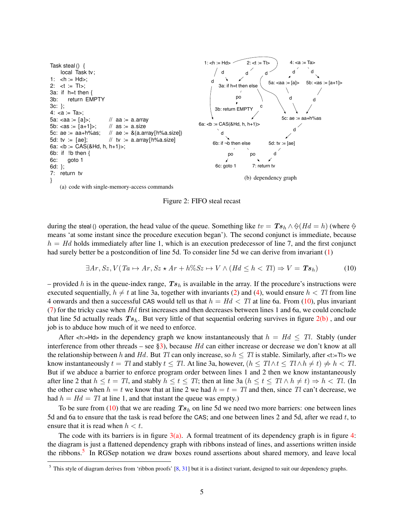<span id="page-5-4"></span>

<span id="page-5-1"></span>Figure 2: FIFO steal recast

<span id="page-5-0"></span>during the steal () operation, the head value of the queue. Something like  $tv = Ts_h \wedge \Diamond (Hd = h)$  (where  $\Diamond$ means 'at some instant since the procedure execution began'). The second conjunct is immediate, because  $h = Hd$  holds immediately after line 1, which is an execution predecessor of line 7, and the first conjunct had surely better be a postcondition of line 5d. To consider line 5d we can derive from invariant [\(1\)](#page-3-1)

<span id="page-5-2"></span>
$$
\exists Ar, Sz, V(Ta \mapsto Ar, Sz \star Ar + h\%Sz \mapsto V \wedge (Hd \le h < Tl) \Rightarrow V = \mathbf{Ts}_h \tag{10}
$$

– provided h is in the queue-index range,  $Ts<sub>h</sub>$  is available in the array. If the procedure's instructions were executed sequentially,  $h \neq t$  at line 3a, together with invariants [\(2\)](#page-3-0) and [\(4\)](#page-3-3), would ensure  $h < Tl$  from line 4 onwards and then a successful CAS would tell us that  $h = Hd < Tl$  at line 6a. From [\(10\)](#page-5-2), plus invariant  $(7)$  for the tricky case when Hd first increases and then decreases between lines 1 and 6a, we could conclude that line 5d actually reads  $Ts_h$ . But very little of that sequential ordering survives in figure  $2(b)$ , and our job is to abduce how much of it we need to enforce.

After  $\langle \cdot |$  =Hd> in the dependency graph we know instantaneously that  $h = Hd \leq Tl$ . Stably (under interference from other threads – see [§3\)](#page-3-7), because  $Hd$  can either increase or decrease we don't know at all the relationship between h and Hd. But Tl can only increase, so  $h \leq Tl$  is stable. Similarly, after <t:=Tl> we know instantaneously  $t = Tl$  and stably  $t \leq Tl$ . At line 3a, however,  $(h \leq Tl \wedge t \leq Tl \wedge h \neq t) \neq h < Tl$ . But if we abduce a barrier to enforce program order between lines 1 and 2 then we know instantaneously after line 2 that  $h \le t = Tl$ , and stably  $h \le t \le Tl$ ; then at line 3a  $(h \le t \le Tl \land h \ne t) \Rightarrow h < Tl$ . (In the other case when  $h = t$  we know that at line 2 we had  $h = t = Tl$  and then, since Tl can't decrease, we had  $h = Hd = Tl$  at line 1, and that instant the queue was empty.)

To be sure from [\(10\)](#page-5-2) that we are reading  $Ts<sub>h</sub>$  on line 5d we need two more barriers: one between lines 5d and 6a to ensure that the task is read before the CAS; and one between lines 2 and 5d, after we read t, to ensure that it is read when  $h < t$ .

The code with its barriers is in figure  $3(a)$ . A formal treatment of its dependency graph is in figure [4:](#page-7-0) the diagram is just a flattened dependency graph with ribbons instead of lines, and assertions written inside the ribbons.<sup>[5](#page-5-3)</sup> In RGSep notation we draw boxes round assertions about shared memory, and leave local

<span id="page-5-3"></span><sup>&</sup>lt;sup>5</sup> This style of diagram derives from 'ribbon proofs'  $[8, 31]$  $[8, 31]$  $[8, 31]$  but it is a distinct variant, designed to suit our dependency graphs.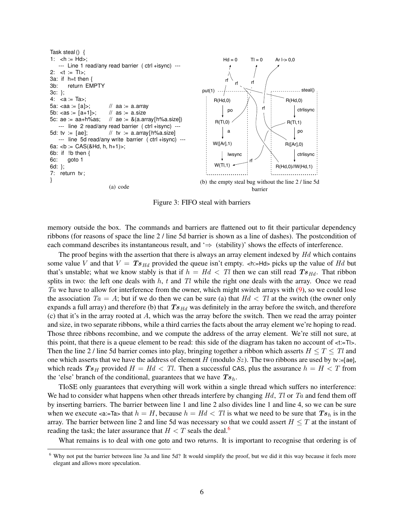

<span id="page-6-2"></span>Figure 3: FIFO steal with barriers

<span id="page-6-0"></span>memory outside the box. The commands and barriers are flattened out to fit their particular dependency ribbons (for reasons of space the line 2 / line 5d barrier is shown as a line of dashes). The postcondition of each command describes its instantaneous result, and  $\Rightarrow$  (stability)' shows the effects of interference.

The proof begins with the assertion that there is always an array element indexed by Hd which contains some value V and that  $V = Ts_{Hd}$  provided the queue isn't empty.  $\langle$ h:=Hd> picks up the value of Hd but that's unstable; what we know stably is that if  $h = Hd < Tl$  then we can still read  $Ts_{Hd}$ . That ribbon splits in two: the left one deals with  $h$ ,  $t$  and  $Tl$  while the right one deals with the array. Once we read Ta we have to allow for interference from the owner, which might switch arrays with [\(9\)](#page-4-2), so we could lose the association  $Ta = A$ ; but if we do then we can be sure (a) that  $Hd < Tl$  at the switch (the owner only expands a full array) and therefore (b) that  $Ts_{Hd}$  was definitely in the array before the switch, and therefore (c) that it's in the array rooted at A, which was the array before the switch. Then we read the array pointer and size, in two separate ribbons, while a third carries the facts about the array element we're hoping to read. Those three ribbons recombine, and we compute the address of the array element. We're still not sure, at this point, that there is a queue element to be read: this side of the diagram has taken no account of  $lt:=T$ l>. Then the line 2 / line 5d barrier comes into play, bringing together a ribbon which asserts  $H \leq T \leq Tl$  and one which asserts that we have the address of element H (modulo  $Sz$ ). The two ribbons are used by tv :=[ae], which reads  $Ts_H$  provided  $H = Hd < Tl$ . Then a successful CAS, plus the assurance  $h = H < T$  from the 'else' branch of the conditional, guarantees that we have  $Ts_h$ .

TIoSE only guarantees that everything will work within a single thread which suffers no interference: We had to consider what happens when other threads interfere by changing  $Hd$ ,  $Tl$  or  $Ta$  and fend them off by inserting barriers. The barrier between line 1 and line 2 also divides line 1 and line 4, so we can be sure when we execute  $\alpha = \text{Ta}$  that  $h = H$ , because  $h = Hd < Tl$  is what we need to be sure that  $Ts_h$  is in the array. The barrier between line 2 and line 5d was necessary so that we could assert  $H \leq T$  at the instant of reading the task; the later assurance that  $H < T$  seals the deal.<sup>[6](#page-6-1)</sup>

What remains is to deal with one goto and two returns. It is important to recognise that ordering is of

<span id="page-6-1"></span><sup>&</sup>lt;sup>6</sup> Why not put the barrier between line 3a and line 5d? It would simplify the proof, but we did it this way because it feels more elegant and allows more speculation.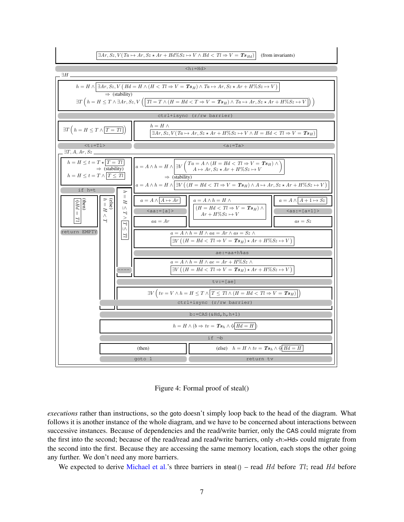<span id="page-7-1"></span>

<span id="page-7-0"></span>Figure 4: Formal proof of steal()

*executions* rather than instructions, so the goto doesn't simply loop back to the head of the diagram. What follows it is another instance of the whole diagram, and we have to be concerned about interactions between successive instances. Because of dependencies and the read/write barrier, only the CAS could migrate from the first into the second; because of the read/read and read/write barriers, only <h:=Hd> could migrate from the second into the first. Because they are accessing the same memory location, each stops the other going any further. We don't need any more barriers.

We expected to derive [Michael et al.'](#page-13-3)s three barriers in steal  $()$  – read Hd before Tl; read Hd before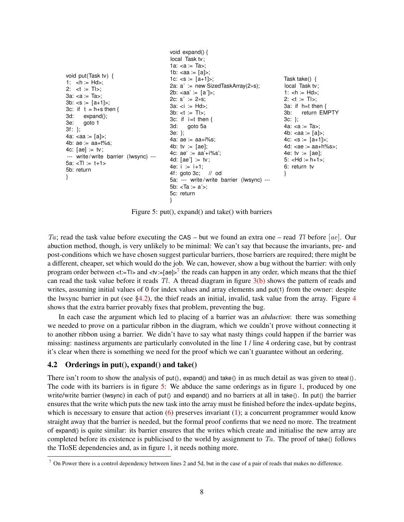```
void put(Task tv) {
1: \langle h := H ds;
2: lt := T|>:
3a: <a := Ta3b: <s := [a+1];
3c: if t = h+s then {
3d: expand();
3e: goto 1
3f: };
4a: <aa := [a]>;
4b: ae := aa+t%s;
4c: [ae] := tv;
--- write/write barrier (lwsync) ---
5a: < I = t + 15b: return
}
                                          void expand() {
                                          local Task tv;
                                          1a: <a := Ta;
                                          1b: <aa := [a]>;
                                          1c: < s := [a+1] >;2a: a' := new SizedTaskArray(2∗s);
                                         2b: <aa' = [a'];
                                         2c: s' := 2∗s;
                                          3a: <i>i</i> := <math>Hd</math>;3b: < t := T|>;3c: if i=t then {
                                          3d: goto 5a
                                          3e: };
                                          4a: ae := aa + i\%s:
                                          4b: tv := [ae];
                                          4c: ae' := aa'+i\%s';4d: [ae'] := tv;4e: i := i+1;
                                          4f: goto 3c; // od
                                          5a: --- write / write barrier (lwsync) ---
                                          5b: <Ta := a'>;
                                          5c: return
                                          }
                                                                                        Task take() {
                                                                                        local Task tv;
                                                                                        1: \text{ch} := \text{Hd}2: lt := T|>:
                                                                                        3a: if h=t then {
                                                                                        3b: return EMPTY
                                                                                        3c: };
                                                                                        4a: <a := Ta>;
                                                                                        4b: <aa := [a]>;
                                                                                        4c: < s := [a+1];
                                                                                        4d: <ae := aa + h%s>:
                                                                                        4e: tv := [ae];
                                                                                        5: -Hd := h+1;
                                                                                        6: return tv
                                                                                        }
```
<span id="page-8-2"></span>Figure 5: put(), expand() and take() with barriers

Ta; read the task value before executing the CAS – but we found an extra one – read Tl before [ae]. Our abuction method, though, is very unlikely to be minimal: We can't say that because the invariants, pre- and post-conditions which we have chosen suggest particular barriers, those barriers are required; there might be a different, cheaper, set which would do the job. We can, however, show a bug without the barrier: with only program order between <t:=Tl> and <tv:=[ae]> $^7$  $^7$  the reads can happen in any order, which means that the thief can read the task value before it reads  $Tl$ . A thread diagram in figure  $3(b)$  shows the pattern of reads and writes, assuming initial values of 0 for index values and array elements and put(1) from the owner: despite the lwsync barrier in put (see  $\S4.2$  $\S4.2$  $\S4.2$ ), the thief reads an initial, invalid, task value from the array. Figure 4 shows that the extra barrier provably fixes that problem, preventing the bug.

In each case the argument which led to placing of a barrier was an *abduction*: there was something we needed to prove on a particular ribbon in the diagram, which we couldn't prove without connecting it to another ribbon using a barrier. We didn't have to say what nasty things could happen if the barrier was missing: nastiness arguments are particularly convoluted in the line 1 / line 4 ordering case, but by contrast it's clear when there is something we need for the proof which we can't guarantee without an ordering.

#### <span id="page-8-1"></span>4.2 Orderings in put(), expand() and take()

There isn't room to show the analysis of put(), expand() and take() in as much detail as was given to steal (). The code with its barriers is in figure [5:](#page-8-2) We abduce the same orderings as in figure [1,](#page-1-0) produced by one write/write barrier (lwsync) in each of put() and expand() and no barriers at all in take(). In put() the barrier ensures that the write which puts the new task into the array must be finished before the index-update begins, which is necessary to ensure that action  $(6)$  preserves invariant  $(1)$ ; a concurrent programmer would know straight away that the barrier is needed, but the formal proof confirms that we need no more. The treatment of expand() is quite similar: its barrier ensures that the writes which create and initialise the new array are completed before its existence is publicised to the world by assignment to  $Ta$ . The proof of take() follows the TIoSE dependencies and, as in figure [1,](#page-1-0) it needs nothing more.

<span id="page-8-0"></span> $7$  On Power there is a control dependency between lines 2 and 5d, but in the case of a pair of reads that makes no difference.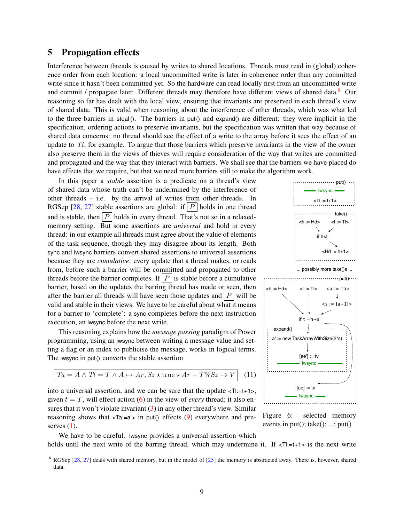#### <span id="page-9-3"></span>5 Propagation effects

Interference between threads is caused by writes to shared locations. Threads must read in (global) coherence order from each location: a local uncommitted write is later in coherence order than any committed write since it hasn't been committed yet. So the hardware can read locally first from an uncommitted write and commit / propagate later. Different threads may therefore have different views of shared data.<sup>[8](#page-9-0)</sup> Our reasoning so far has dealt with the local view, ensuring that invariants are preserved in each thread's view of shared data. This is valid when reasoning about the interference of other threads, which was what led to the three barriers in steal (). The barriers in put () and expand () are different: they were implicit in the specification, ordering actions to preserve invariants, but the specification was written that way because of shared data concerns: no thread should see the effect of a write to the array before it sees the effect of an update to  $Tl$ , for example. To argue that those barriers which preserve invariants in the view of the owner also preserve them in the views of thieves will require consideration of the way that writes are committed and propagated and the way that they interact with barriers. We shall see that the barriers we have placed do have effects that we require, but that we need more barriers still to make the algorithm work.

In this paper a *stable* assertion is a predicate on a thread's view of shared data whose truth can't be undermined by the interference of other threads – i.e. by the arrival of writes from other threads. In RGSep [\[28,](#page-13-10) [27\]](#page-13-11) stable assertions are global: if  $|P|$  holds in one thread and is stable, then  $|P|$  holds in every thread. That's not so in a relaxedmemory setting. But some assertions are *universal* and hold in every thread: in our example all threads must agree about the value of elements of the task sequence, though they may disagree about its length. Both sync and lwsync barriers convert shared assertions to universal assertions because they are *cumulative*: every update that a thread makes, or reads from, before such a barrier will be committed and propagated to other threads before the barrier completes. If  $|P|$  is stable before a cumulative barrier, based on the updates the barring thread has made or seen, then after the barrier all threads will have seen those updates and  $|P|$  will be valid and stable in their views. We have to be careful about what it means for a barrier to 'complete': a sync completes before the next instruction execution, an lwsync before the next write.

This reasoning explains how the *message passing* paradigm of Power programming, using an lwsync between writing a message value and setting a flag or an index to publicise the message, works in logical terms. The lwsync in put() converts the stable assertion

<span id="page-9-1"></span>
$$
Ta = A \land TI = T \land A \mapsto Ar, Sz * true * Ar + T\% Sz \mapsto V \quad (11)
$$

into a universal assertion, and we can be sure that the update  $\leq T$ l:=t+1>, given  $t = T$ , will effect action [\(6\)](#page-3-6) in the view of *every* thread; it also ensures that it won't violate invariant  $(3)$  in any other thread's view. Similar reasoning shows that  $\langle Ta:=a'\rangle$  in put() effects [\(9\)](#page-4-2) everywhere and preserves  $(1)$ .



<span id="page-9-2"></span>Figure 6: selected memory events in put $()$ ; take $()$ ; ...; put $()$ 

We have to be careful. lwsync provides a universal assertion which holds until the next write of the barring thread, which may undermine it. If  $\langle T|$ :=t+1> is the next write

<span id="page-9-0"></span><sup>&</sup>lt;sup>8</sup> RGSep [\[28,](#page-13-10) [27\]](#page-13-11) deals with shared memory, but in the model of [\[25\]](#page-13-1) the memory is abstracted away. There is, however, shared data.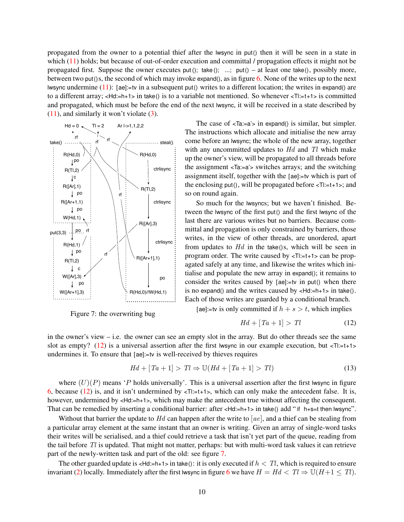propagated from the owner to a potential thief after the lwsync in put () then it will be seen in a state in which [\(11\)](#page-9-1) holds; but because of out-of-order execution and committal / propagation effects it might not be propagated first. Suppose the owner executes put (); take (); ...; put  $() - at least one take()$ , possibly more, between two put  $(s, t)$  the second of which may invoke expand $(s, t)$  as in figure [6.](#page-9-2) None of the writes up to the next lwsync undermine  $(11)$ : [ae]:=tv in a subsequent put() writes to a different location; the writes in expand() are to a different array;  $\lt$ Hd:=h+1> in take() is to a variable not mentioned. So whenever  $\lt$ Tl:=t+1> is committed and propagated, which must be before the end of the next lwsync, it will be received in a state described by  $(11)$ , and similarly it won't violate  $(3)$ .



<span id="page-10-1"></span>Figure 7: the overwriting bug

The case of  $\le$ Ta:=a'> in expand() is similar, but simpler. The instructions which allocate and initialise the new array come before an lwsync; the whole of the new array, together with any uncommitted updates to  $Hd$  and  $Tl$  which make up the owner's view, will be propagated to all threads before the assignment <Ta:=a'> switches arrays; and the switching assignment itself, together with the [ae]:=tv which is part of the enclosing put(), will be propagated before  $\leq T! = t+1$ ; and so on round again.

So much for the lwsyncs; but we haven't finished. Between the lwsync of the first put() and the first lwsync of the last there are various writes but no barriers. Because committal and propagation is only constrained by barriers, those writes, in the view of other threads, are unordered, apart from updates to  $Hd$  in the take()s, which will be seen in program order. The write caused by  $\langle T \rangle = t + 1$  can be propagated safely at any time, and likewise the writes which initialise and populate the new array in expand(); it remains to consider the writes caused by [ae]:=tv in put() when there is no expand() and the writes caused by  $\lt$ Hd:=h+1> in take(). Each of those writes are guarded by a conditional branch.

[ae]:=tv is only committed if  $h + s > t$ , which implies

<span id="page-10-0"></span>
$$
Hd + [Ta + 1] > Tl \tag{12}
$$

in the owner's view – i.e. the owner can see an empty slot in the array. But do other threads see the same slot as empty? [\(12\)](#page-10-0) is a universal assertion after the first lwsync in our example execution, but  $\langle T|:=t+1\rangle$ undermines it. To ensure that [ae]:=tv is well-received by thieves requires

$$
Hd + [Ta + 1] > Tl \Rightarrow \mathbb{U}(Hd + [Ta + 1] > Tl)
$$
\n
$$
(13)
$$

where  $(U)(P)$  means 'P holds universally'. This is a universal assertion after the first lwsync in figure [6,](#page-9-2) because [\(12\)](#page-10-0) is, and it isn't undermined by  $\lt T!:=t+1>$ , which can only make the antecedent false. It is, however, undermined by <Hd:=h+1>, which may make the antecedent true without affecting the consequent. That can be remedied by inserting a conditional barrier: after  $\lt$ Hd:=h+1> in take() add " if h+s=t then lwsync".

Without that barrier the update to Hd can happen after the write to [ $ae$ ], and a thief can be stealing from a particular array element at the same instant that an owner is writing. Given an array of single-word tasks their writes will be serialised, and a thief could retrieve a task that isn't yet part of the queue, reading from the tail before  $Tl$  is updated. That might not matter, perhaps: but with multi-word task values it can retrieve part of the newly-written task and part of the old: see figure [7.](#page-10-1)

The other guarded update is  $\leq Hd:=h+1>$  in take(): it is only executed if  $h < Tl$ , which is required to ensure invariant [\(2\)](#page-3-0) locally. Immediately after the first lwsync in figure [6](#page-9-2) we have  $H = Hd < Tl \Rightarrow \mathbb{U}(H+1 \leq Tl)$ .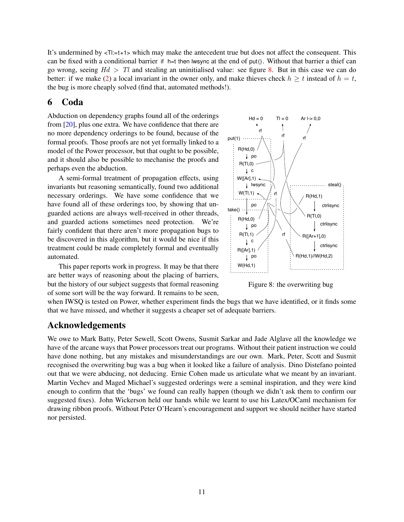<span id="page-11-1"></span>It's undermined by  $\leq T$ :=t+1> which may make the antecedent true but does not affect the consequent. This can be fixed with a conditional barrier if h=t then lwsync at the end of put $()$ . Without that barrier a thief can go wrong, seeing  $Hd > Tl$  and stealing an uninitialised value: see figure [8.](#page-11-0) But in this case we can do better: if we make [\(2\)](#page-3-0) a local invariant in the owner only, and make thieves check  $h \ge t$  instead of  $h = t$ , the bug is more cheaply solved (find that, automated methods!).

### 6 Coda

Abduction on dependency graphs found all of the orderings from [\[20\]](#page-13-3), plus one extra. We have confidence that there are no more dependency orderings to be found, because of the formal proofs. Those proofs are not yet formally linked to a model of the Power processor, but that ought to be possible, and it should also be possible to mechanise the proofs and perhaps even the abduction.

A semi-formal treatment of propagation effects, using invariants but reasoning semantically, found two additional necessary orderings. We have some confidence that we have found all of these orderings too, by showing that unguarded actions are always well-received in other threads, and guarded actions sometimes need protection. We're fairly confident that there aren't more propagation bugs to be discovered in this algorithm, but it would be nice if this treatment could be made completely formal and eventually automated.

This paper reports work in progress. It may be that there are better ways of reasoning about the placing of barriers, but the history of our subject suggests that formal reasoning of some sort will be the way forward. It remains to be seen,



<span id="page-11-0"></span>Figure 8: the overwriting bug

when IWSQ is tested on Power, whether experiment finds the bugs that we have identified, or it finds some that we have missed, and whether it suggests a cheaper set of adequate barriers.

## Acknowledgements

We owe to Mark Batty, Peter Sewell, Scott Owens, Susmit Sarkar and Jade Alglave all the knowledge we have of the arcane ways that Power processors treat our programs. Without their patient instruction we could have done nothing, but any mistakes and misunderstandings are our own. Mark, Peter, Scott and Susmit recognised the overwriting bug was a bug when it looked like a failure of analysis. Dino Distefano pointed out that we were abducing, not deducing. Ernie Cohen made us articulate what we meant by an invariant. Martin Vechev and Maged Michael's suggested orderings were a seminal inspiration, and they were kind enough to confirm that the 'bugs' we found can really happen (though we didn't ask them to confirm our suggested fixes). John Wickerson held our hands while we learnt to use his Latex/OCaml mechanism for drawing ribbon proofs. Without Peter O'Hearn's encouragement and support we should neither have started nor persisted.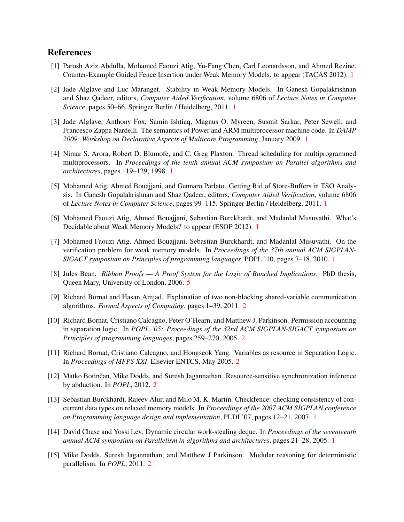### References

- <span id="page-12-4"></span>[1] Parosh Aziz Abdulla, Mohamed Faouzi Atig, Yu-Fang Chen, Carl Leonardsson, and Ahmed Rezine. Counter-Example Guided Fence Insertion under Weak Memory Models. to appear (TACAS 2012). [1](#page-1-1)
- <span id="page-12-3"></span>[2] Jade Alglave and Luc Maranget. Stability in Weak Memory Models. In Ganesh Gopalakrishnan and Shaz Qadeer, editors, *Computer Aided Verification*, volume 6806 of *Lecture Notes in Computer Science*, pages 50–66. Springer Berlin / Heidelberg, 2011. [1](#page-1-1)
- <span id="page-12-0"></span>[3] Jade Alglave, Anthony Fox, Samin Ishtiaq, Magnus O. Myreen, Susmit Sarkar, Peter Sewell, and Francesco Zappa Nardelli. The semantics of Power and ARM multiprocessor machine code. In *DAMP 2009: Workshop on Declarative Aspects of Multicore Programming*, January 2009. [1](#page-1-1)
- <span id="page-12-7"></span>[4] Nimar S. Arora, Robert D. Blumofe, and C. Greg Plaxton. Thread scheduling for multiprogrammed multiprocessors. In *Proceedings of the tenth annual ACM symposium on Parallel algorithms and architectures*, pages 119–129, 1998. [1](#page-1-1)
- <span id="page-12-2"></span>[5] Mohamed Atig, Ahmed Bouajjani, and Gennaro Parlato. Getting Rid of Store-Buffers in TSO Analysis. In Ganesh Gopalakrishnan and Shaz Qadeer, editors, *Computer Aided Verification*, volume 6806 of *Lecture Notes in Computer Science*, pages 99–115. Springer Berlin / Heidelberg, 2011. [1](#page-1-1)
- <span id="page-12-6"></span>[6] Mohamed Faouzi Atig, Ahmed Bouajjani, Sebastian Burckhardt, and Madanlal Musuvathi. What's Decidable about Weak Memory Models? to appear (ESOP 2012). [1](#page-1-1)
- <span id="page-12-5"></span>[7] Mohamed Faouzi Atig, Ahmed Bouajjani, Sebastian Burckhardt, and Madanlal Musuvathi. On the verification problem for weak memory models. In *Proceedings of the 37th annual ACM SIGPLAN-SIGACT symposium on Principles of programming languages*, POPL '10, pages 7–18, 2010. [1](#page-1-1)
- <span id="page-12-14"></span>[8] Jules Bean. *Ribbon Proofs — A Proof System for the Logic of Bunched Implications*. PhD thesis, Queen Mary, University of London, 2006. [5](#page-5-4)
- <span id="page-12-12"></span>[9] Richard Bornat and Hasan Amjad. Explanation of two non-blocking shared-variable communication algorithms. *Formal Aspects of Computing*, pages 1–39, 2011. [2](#page-2-3)
- <span id="page-12-9"></span>[10] Richard Bornat, Cristiano Calcagno, Peter O'Hearn, and Matthew J. Parkinson. Permission accounting in separation logic. In *POPL '05: Proceedings of the 32nd ACM SIGPLAN-SIGACT symposium on Principles of programming languages*, pages 259–270, 2005. [2](#page-2-3)
- <span id="page-12-10"></span>[11] Richard Bornat, Cristiano Calcagno, and Hongseok Yang. Variables as resource in Separation Logic. In *Proceedings of MFPS XXI*. Elsevier ENTCS, May 2005. [2](#page-2-3)
- <span id="page-12-13"></span>[12] Matko Botinčan, Mike Dodds, and Suresh Jagannathan. Resource-sensitive synchronization inference by abduction. In *POPL*, 2012. [2](#page-2-3)
- <span id="page-12-1"></span>[13] Sebastian Burckhardt, Rajeev Alur, and Milo M. K. Martin. Checkfence: checking consistency of concurrent data types on relaxed memory models. In *Proceedings of the 2007 ACM SIGPLAN conference on Programming language design and implementation*, PLDI '07, pages 12–21, 2007. [1](#page-1-1)
- <span id="page-12-8"></span>[14] David Chase and Yossi Lev. Dynamic circular work-stealing deque. In *Proceedings of the seventeenth annual ACM symposium on Parallelism in algorithms and architectures*, pages 21–28, 2005. [1](#page-1-1)
- <span id="page-12-11"></span>[15] Mike Dodds, Suresh Jagannathan, and Matthew J Parkinson. Modular reasoning for deterministic parallelism. In *POPL*, 2011. [2](#page-2-3)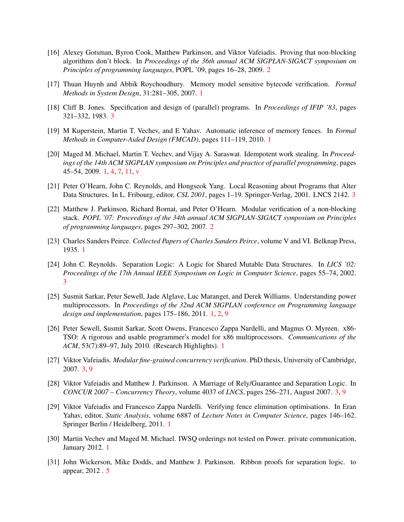- <span id="page-13-9"></span>[16] Alexey Gotsman, Byron Cook, Matthew Parkinson, and Viktor Vafeiadis. Proving that non-blocking algorithms don't block. In *Proceedings of the 36th annual ACM SIGPLAN-SIGACT symposium on Principles of programming languages*, POPL '09, pages 16–28, 2009. [2](#page-2-3)
- <span id="page-13-2"></span>[17] Thuan Huynh and Abhik Roychoudhury. Memory model sensitive bytecode verification. *Formal Methods in System Design*, 31:281–305, 2007. [1](#page-1-1)
- <span id="page-13-14"></span>[18] Cliff B. Jones. Specification and design of (parallel) programs. In *Proceedings of IFIP '83*, pages 321–332, 1983. [3](#page-3-8)
- <span id="page-13-6"></span>[19] M Kuperstein, Martin T. Vechev, and E Yahav. Automatic inference of memory fences. In *Formal Methods in Computer-Aided Design (FMCAD)*, pages 111–119, 2010. [1](#page-1-1)
- <span id="page-13-3"></span>[20] Maged M. Michael, Martin T. Vechev, and Vijay A. Saraswat. Idempotent work stealing. In *Proceedings of the 14th ACM SIGPLAN symposium on Principles and practice of parallel programming*, pages 45–54, 2009. [1,](#page-1-1) [4,](#page-4-3) [7,](#page-7-1) [11,](#page-11-1) [v](#page-18-0)
- <span id="page-13-13"></span>[21] Peter O'Hearn, John C. Reynolds, and Hongseok Yang. Local Reasoning about Programs that Alter Data Structures. In L. Fribourg, editor, *CSL 2001*, pages 1–19. Springer-Verlag, 2001. LNCS 2142. [3](#page-3-8)
- <span id="page-13-8"></span>[22] Matthew J. Parkinson, Richard Bornat, and Peter O'Hearn. Modular verification of a non-blocking stack. *POPL '07: Proceedings of the 34th annual ACM SIGPLAN-SIGACT symposium on Principles of programming languages*, pages 297–302, 2007. [2](#page-2-3)
- <span id="page-13-5"></span>[23] Charles Sanders Peirce. *Collected Papers of Charles Sanders Peirce*, volume V and VI. Belknap Press, 1935. [1](#page-1-1)
- <span id="page-13-12"></span>[24] John C. Reynolds. Separation Logic: A Logic for Shared Mutable Data Structures. In *LICS '02: Proceedings of the 17th Annual IEEE Symposium on Logic in Computer Science*, pages 55–74, 2002. [3](#page-3-8)
- <span id="page-13-1"></span>[25] Susmit Sarkar, Peter Sewell, Jade Alglave, Luc Maranget, and Derek Williams. Understanding power multiprocessors. In *Proceedings of the 32nd ACM SIGPLAN conference on Programming language design and implementation*, pages 175–186, 2011. [1,](#page-1-1) [2,](#page-2-3) [9](#page-9-3)
- <span id="page-13-0"></span>[26] Peter Sewell, Susmit Sarkar, Scott Owens, Francesco Zappa Nardelli, and Magnus O. Myreen. x86- TSO: A rigorous and usable programmer's model for x86 multiprocessors. *Communications of the ACM*, 53(7):89–97, July 2010. (Research Highlights). [1](#page-1-1)
- <span id="page-13-11"></span>[27] Viktor Vafeiadis. *Modular fine-grained concurrency verification*. PhD thesis, University of Cambridge, 2007. [3,](#page-3-8) [9](#page-9-3)
- <span id="page-13-10"></span>[28] Viktor Vafeiadis and Matthew J. Parkinson. A Marriage of Rely/Guarantee and Separation Logic. In *CONCUR 2007 – Concurrency Theory*, volume 4037 of *LNCS*, pages 256–271, August 2007. [3,](#page-3-8) [9](#page-9-3)
- <span id="page-13-7"></span>[29] Viktor Vafeiadis and Francesco Zappa Nardelli. Verifying fence elimination optimisations. In Eran Yahav, editor, *Static Analysis*, volume 6887 of *Lecture Notes in Computer Science*, pages 146–162. Springer Berlin / Heidelberg, 2011. [1](#page-1-1)
- <span id="page-13-4"></span>[30] Martin Vechev and Maged M. Michael. IWSQ orderings not tested on Power. private communication, January 2012. [1](#page-1-1)
- <span id="page-13-15"></span>[31] John Wickerson, Mike Dodds, and Matthew J. Parkinson. Ribbon proofs for separation logic. to appear, 2012 . [5](#page-5-4)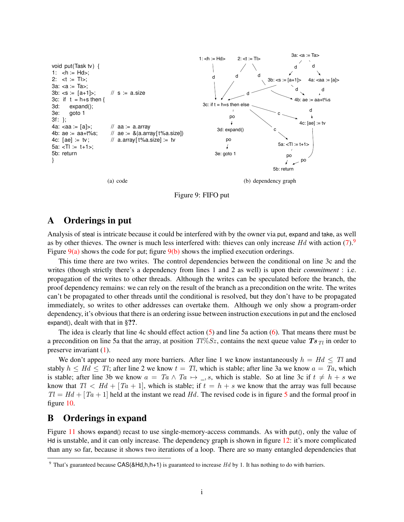

<span id="page-14-2"></span>

## <span id="page-14-1"></span>A Orderings in put

Analysis of steal is intricate because it could be interfered with by the owner via put, expand and take, as well as by other thieves. The owner is much less interfered with: thieves can only increase  $Hd$  with action [\(7\)](#page-4-0). Figure  $9(a)$  shows the code for put; figure  $9(b)$  shows the implied execution orderings.

This time there are two writes. The control dependencies between the conditional on line 3c and the writes (though strictly there's a dependency from lines 1 and 2 as well) is upon their *commitment* : i.e. propagation of the writes to other threads. Although the writes can be speculated before the branch, the proof dependency remains: we can rely on the result of the branch as a precondition on the write. The writes can't be propagated to other threads until the conditional is resolved, but they don't have to be propagated immediately, so writes to other addresses can overtake them. Although we only show a program-order dependency, it's obvious that there is an ordering issue between instruction executions in put and the enclosed expand(), dealt with that in §??.

The idea is clearly that line 4c should effect action [\(5\)](#page-3-5) and line 5a action [\(6\)](#page-3-6). That means there must be a precondition on line 5a that the array, at position  $T\sqrt{6}S_z$ , contains the next queue value  $Ts_{Tl}$  in order to preserve invariant [\(1\)](#page-3-1).

We don't appear to need any more barriers. After line 1 we know instantaneously  $h = Hd \leq Tl$  and stably  $h \leq Hd \leq Tl$ ; after line 2 we know  $t = Tl$ , which is stable; after line 3a we know  $a = Ta$ , which is stable; after line 3b we know  $a = Ta \wedge Ta \mapsto .$ , s, which is stable. So at line 3c if  $t \neq h + s$  we know that  $T_l < H_d + [Ta + 1]$ , which is stable; if  $t = h + s$  we know that the array was full because  $Tl = Hd + [Ta + 1]$  held at the instant we read Hd. The revised code is in figure [5](#page-8-2) and the formal proof in figure [10.](#page-15-0)

## B Orderings in expand

Figure [11](#page-15-1) shows expand() recast to use single-memory-access commands. As with put(), only the value of Hd is unstable, and it can only increase. The dependency graph is shown in figure [12:](#page-16-0) it's more complicated than any so far, because it shows two iterations of a loop. There are so many entangled dependencies that

<span id="page-14-0"></span><sup>&</sup>lt;sup>9</sup> That's guaranteed because  $CAS(8Hd,h,h+1)$  is guaranteed to increase Hd by 1. It has nothing to do with barriers.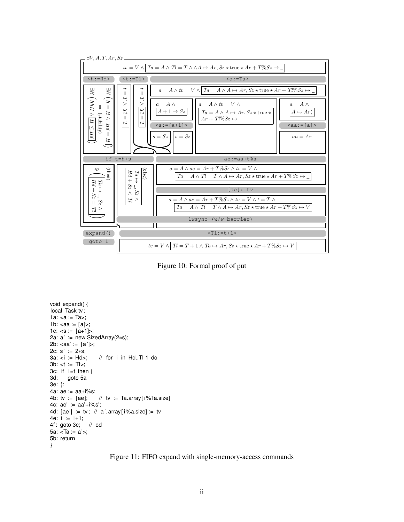

<span id="page-15-0"></span>Figure 10: Formal proof of put

```
void expand() {
local Task tv;
1a: <a := Ta>;
1b: \langleaa := [a]>;
1c: < s := [a+1] >;2a: a' := new SizedArray(2∗s);
2b: \langleaa' := [a']>;
2c: s' := 2∗s;<br>3a: <i := Hd>;
                     // for i in Hd..Tl-1 do
3b: < t := T|>;3c: if i=t then \{3d: goto 5agoto 5a
3e: };
4a: ae := aa+i%s;
4b: tv := [ae]; // tv := Ta.array[i\%Ta.size]
4c: ae' := aa'+i\%s';4d: [ae'] := tv; // a'. array[i\%a.size] := tv4e: i := i+1;
4f: goto 3c; // od
5a: <Ta := a'>;
5b: return
}
```
<span id="page-15-1"></span>Figure 11: FIFO expand with single-memory-access commands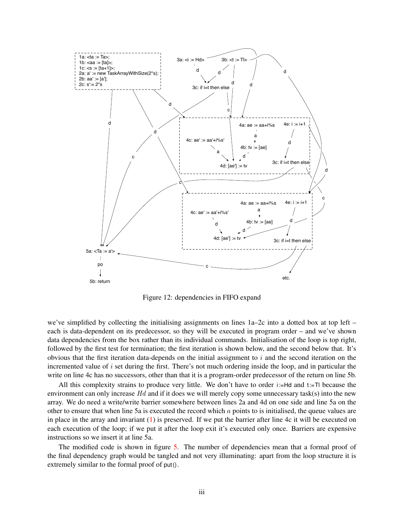

<span id="page-16-0"></span>Figure 12: dependencies in FIFO expand

we've simplified by collecting the initialising assignments on lines 1a–2c into a dotted box at top left – each is data-dependent on its predecessor, so they will be executed in program order – and we've shown data dependencies from the box rather than its individual commands. Initialisation of the loop is top right, followed by the first test for termination; the first iteration is shown below, and the second below that. It's obvious that the first iteration data-depends on the initial assignment to  $i$  and the second iteration on the incremented value of i set during the first. There's not much ordering inside the loop, and in particular the write on line 4c has no successors, other than that it is a program-order predecessor of the return on line 5b.

All this complexity strains to produce very little. We don't have to order  $i:=Hd$  and  $t:=Tl$  because the environment can only increase  $Hd$  and if it does we will merely copy some unnecessary task(s) into the new array. We do need a write/write barrier somewhere between lines 2a and 4d on one side and line 5a on the other to ensure that when line 5a is executed the record which  $a$  points to is initialised, the queue values are in place in the array and invariant  $(1)$  is preserved. If we put the barrier after line 4c it will be executed on each execution of the loop; if we put it after the loop exit it's executed only once. Barriers are expensive instructions so we insert it at line 5a.

The modified code is shown in figure [5.](#page-8-2) The number of dependencies mean that a formal proof of the final dependency graph would be tangled and not very illuminating: apart from the loop structure it is extremely similar to the formal proof of put().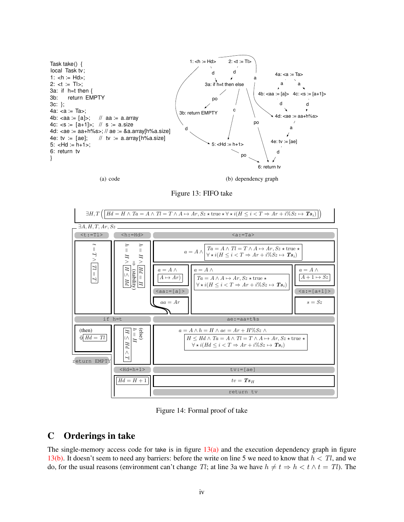

(a) code

(b) dependency graph

<span id="page-17-1"></span>Figure 13: FIFO take

<span id="page-17-0"></span>

<span id="page-17-2"></span>Figure 14: Formal proof of take

# C Orderings in take

The single-memory access code for take is in figure  $13(a)$  and the execution dependency graph in figure [13\(b\).](#page-17-1) It doesn't seem to need any barriers: before the write on line 5 we need to know that  $h < Tl$ , and we do, for the usual reasons (environment can't change Tl; at line 3a we have  $h \neq t \Rightarrow h < t \land t = Tl$ ). The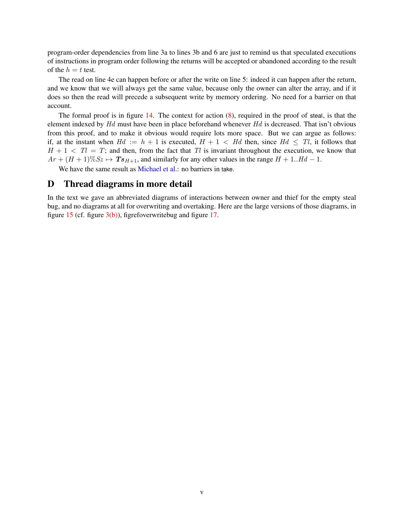<span id="page-18-0"></span>program-order dependencies from line 3a to lines 3b and 6 are just to remind us that speculated executions of instructions in program order following the returns will be accepted or abandoned according to the result of the  $h = t$  test.

The read on line 4e can happen before or after the write on line 5: indeed it can happen after the return, and we know that we will always get the same value, because only the owner can alter the array, and if it does so then the read will precede a subsequent write by memory ordering. No need for a barrier on that account.

The formal proof is in figure [14.](#page-17-2) The context for action [\(8\)](#page-4-1), required in the proof of steal, is that the element indexed by  $Hd$  must have been in place beforehand whenever  $Hd$  is decreased. That isn't obvious from this proof, and to make it obvious would require lots more space. But we can argue as follows: if, at the instant when  $Hd := h + 1$  is executed,  $H + 1 < Hd$  then, since  $Hd \leq Tl$ , it follows that  $H + 1 < Tl = T$ ; and then, from the fact that Tl is invariant throughout the execution, we know that  $Ar + (H + 1)\% Sz \mapsto Ts_{H+1}$ , and similarly for any other values in the range  $H + 1.Hd - 1$ .

We have the same result as [Michael et al.:](#page-13-3) no barriers in take.

#### D Thread diagrams in more detail

In the text we gave an abbreviated diagrams of interactions between owner and thief for the empty steal bug, and no diagrams at all for overwriting and overtaking. Here are the large versions of those diagrams, in figure [15](#page-19-0) (cf. figure  $3(b)$ ), figrefoverwritebug and figure [17.](#page-21-0)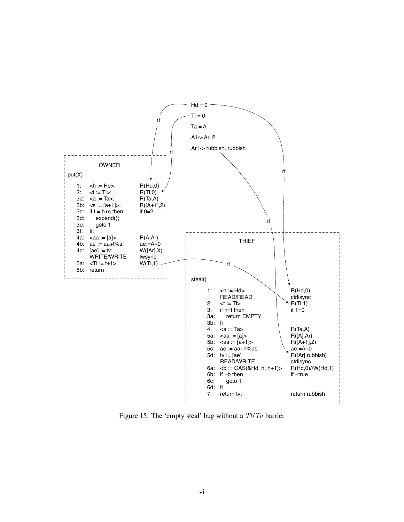

<span id="page-19-0"></span>Figure 15: The 'empty steal' bug without a Tl/Ta barrier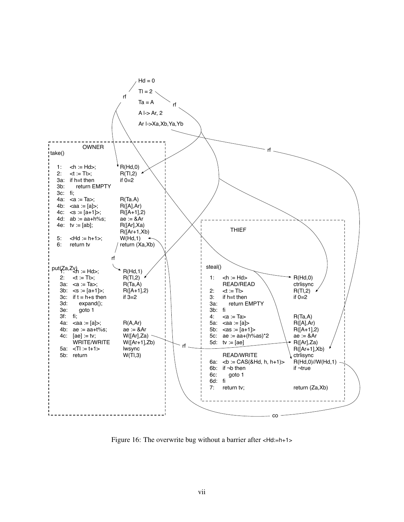

Figure 16: The overwrite bug without a barrier after <Hd:=h+1>